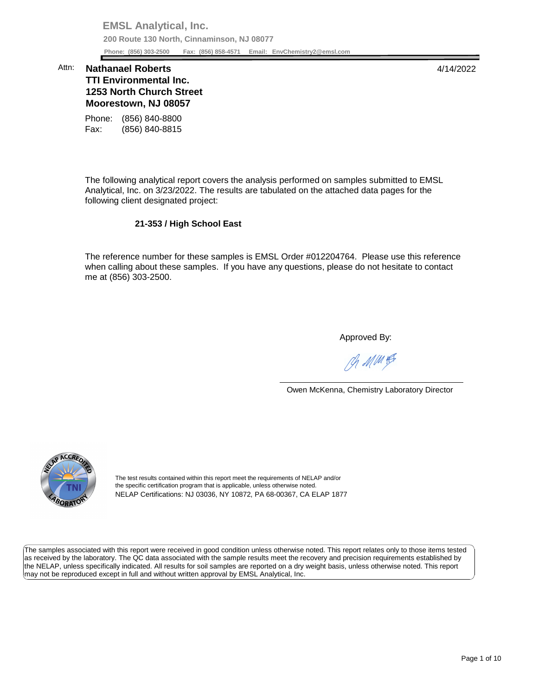**EMSL Analytical, Inc. 200 Route 130 North, Cinnaminson, NJ 08077 Phone: (856) 303-2500 Fax: (856) 858-4571 Email: [EnvChemistry2@emsl.com](mailto:EnvChemistry2@emsl.com)**  Phone: (856) 303-2500

## **1253 North Church Street Moorestown, NJ 08057**  Attn: **Nathanael Roberts** 4/14/2022 **TTI Environmental Inc.**

Phone: (856) 840-8800 Fax: (856) 840-8815

 The following analytical report covers the analysis performed on samples submitted to EMSL Analytical, Inc. on 3/23/2022. The results are tabulated on the attached data pages for the following client designated project:

## **21-353 / High School East**

 The reference number for these samples is EMSL Order #012204764. Please use this reference me at (856) 303-2500. when calling about these samples. If you have any questions, please do not hesitate to contact

Approved By:

Ph MMH

Owen McKenna, Chemistry Laboratory Director



The test results contained within this report meet the requirements of NELAP and/or the specific certification program that is applicable, unless otherwise noted. NELAP Certifications: NJ 03036, NY 10872, PA 68-00367, CA ELAP 1877

 The samples associated with this report were received in good condition unless otherwise noted. This report relates only to those items tested as received by the laboratory. The QC data associated with the sample results meet the recovery and precision requirements established by the NELAP, unless specifically indicated. All results for soil samples are reported on a dry weight basis, unless otherwise noted. This report may not be reproduced except in full and without written approval by EMSL Analytical, Inc.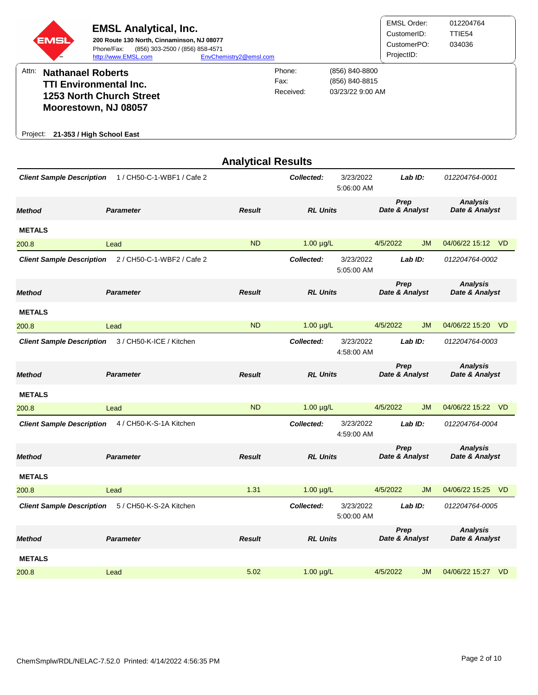|          | <b>EMSL</b>              | <b>EMSL Analytical, Inc.</b><br>200 Route 130 North, Cinnaminson, NJ 08077<br>(856) 303-2500 / (856) 858-4571<br>Phone/Fax:<br>http://www.EMSL.com | EnvChemistry2@emsl.com |                             |                                                      | EMSL Order:<br>CustomerID:<br>CustomerPO:<br>ProjectID: | 012204764<br>TTIE54<br>034036 |
|----------|--------------------------|----------------------------------------------------------------------------------------------------------------------------------------------------|------------------------|-----------------------------|------------------------------------------------------|---------------------------------------------------------|-------------------------------|
| Attn:    | <b>Nathanael Roberts</b> | <b>TTI Environmental Inc.</b><br><b>1253 North Church Street</b><br>Moorestown, NJ 08057                                                           |                        | Phone:<br>Fax:<br>Received: | (856) 840-8800<br>(856) 840-8815<br>03/23/22 9:00 AM |                                                         |                               |
| Project: |                          | 21-353 / High School East                                                                                                                          |                        |                             |                                                      |                                                         |                               |

|                                  |                            | <b>Analytical Results</b> |                 |                         |                        |           |                                   |           |
|----------------------------------|----------------------------|---------------------------|-----------------|-------------------------|------------------------|-----------|-----------------------------------|-----------|
| <b>Client Sample Description</b> | 1 / CH50-C-1-WBF1 / Cafe 2 |                           | Collected:      | 3/23/2022<br>5:06:00 AM |                        | Lab $ID:$ | 012204764-0001                    |           |
| Method                           | <b>Parameter</b>           | <b>Result</b>             | <b>RL Units</b> |                         | Prep<br>Date & Analyst |           | <b>Analysis</b><br>Date & Analyst |           |
| <b>METALS</b>                    |                            |                           |                 |                         |                        |           |                                   |           |
| 200.8                            | Lead                       | <b>ND</b>                 | $1.00 \mu g/L$  |                         | 4/5/2022               | <b>JM</b> | 04/06/22 15:12 VD                 |           |
| <b>Client Sample Description</b> | 2 / CH50-C-1-WBF2 / Cafe 2 |                           | Collected:      | 3/23/2022<br>5:05:00 AM |                        | Lab ID:   | 012204764-0002                    |           |
| <b>Method</b>                    | <b>Parameter</b>           | <b>Result</b>             | <b>RL Units</b> |                         | Prep<br>Date & Analyst |           | <b>Analysis</b><br>Date & Analyst |           |
| <b>METALS</b>                    |                            |                           |                 |                         |                        |           |                                   |           |
| 200.8                            | Lead                       | <b>ND</b>                 | $1.00 \mu g/L$  |                         | 4/5/2022               | <b>JM</b> | 04/06/22 15:20                    | <b>VD</b> |
| <b>Client Sample Description</b> | 3 / CH50-K-ICE / Kitchen   |                           | Collected:      | 3/23/2022<br>4:58:00 AM |                        | Lab ID:   | 012204764-0003                    |           |
| Method                           | <b>Parameter</b>           | <b>Result</b>             | <b>RL Units</b> |                         | Prep<br>Date & Analyst |           | <b>Analysis</b><br>Date & Analyst |           |
| <b>METALS</b>                    |                            |                           |                 |                         |                        |           |                                   |           |
| 200.8                            | Lead                       | <b>ND</b>                 | $1.00 \mu g/L$  |                         | 4/5/2022               | <b>JM</b> | 04/06/22 15:22                    | – VD      |
| <b>Client Sample Description</b> | 4 / CH50-K-S-1A Kitchen    |                           | Collected:      | 3/23/2022<br>4:59:00 AM |                        | Lab ID:   | 012204764-0004                    |           |
| Method                           | <b>Parameter</b>           | <b>Result</b>             | <b>RL Units</b> |                         | Prep<br>Date & Analyst |           | <b>Analysis</b><br>Date & Analyst |           |
| <b>METALS</b>                    |                            |                           |                 |                         |                        |           |                                   |           |
| 200.8                            | Lead                       | 1.31                      | $1.00 \mu g/L$  |                         | 4/5/2022               | <b>JM</b> | 04/06/22 15:25 VD                 |           |
| <b>Client Sample Description</b> | 5 / CH50-K-S-2A Kitchen    |                           | Collected:      | 3/23/2022<br>5:00:00 AM |                        | Lab ID:   | 012204764-0005                    |           |
| <b>Method</b>                    | <b>Parameter</b>           | <b>Result</b>             | <b>RL Units</b> |                         | Prep<br>Date & Analyst |           | <b>Analysis</b><br>Date & Analyst |           |
| <b>METALS</b>                    |                            |                           |                 |                         |                        |           |                                   |           |
| 200.8                            | Lead                       | 5.02                      | $1.00 \mu g/L$  |                         | 4/5/2022               | <b>JM</b> | 04/06/22 15:27                    | <b>VD</b> |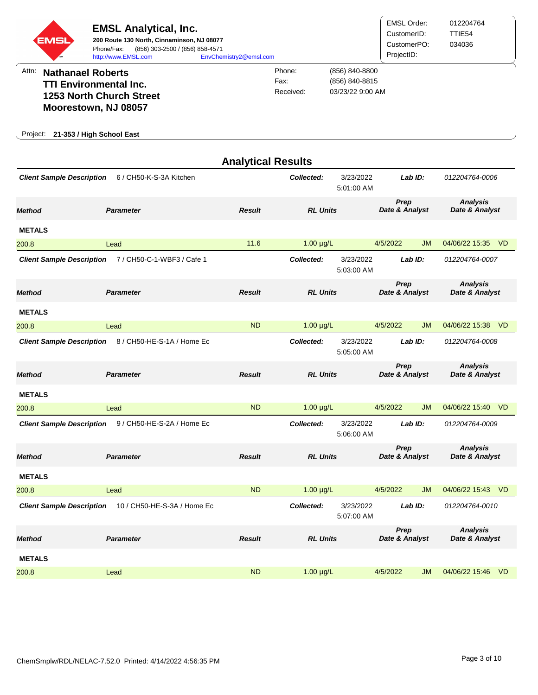| <b>EMSL</b> | <b>EMSL Analytical, Inc.</b><br>200 Route 130 North, Cinnaminson, NJ 08077<br>(856) 303-2500 / (856) 858-4571<br>Phone/Fax:<br>http://www.EMSL.com | EnvChemistry2@emsl.com |                             |                                                      | <b>EMSL Order:</b><br>CustomerID:<br>CustomerPO:<br>ProjectID: | 012204764<br>TTIE54<br>034036 |
|-------------|----------------------------------------------------------------------------------------------------------------------------------------------------|------------------------|-----------------------------|------------------------------------------------------|----------------------------------------------------------------|-------------------------------|
| Attn:       | <b>Nathanael Roberts</b><br><b>TTI Environmental Inc.</b><br>1253 North Church Street<br>Moorestown, NJ 08057                                      |                        | Phone:<br>Fax:<br>Received: | (856) 840-8800<br>(856) 840-8815<br>03/23/22 9:00 AM |                                                                |                               |
| Project:    | 21-353 / High School East                                                                                                                          |                        |                             |                                                      |                                                                |                               |

|                                  |                             | <b>Analytical Results</b> |                 |                         |                        |           |                                   |     |
|----------------------------------|-----------------------------|---------------------------|-----------------|-------------------------|------------------------|-----------|-----------------------------------|-----|
| <b>Client Sample Description</b> | 6 / CH50-K-S-3A Kitchen     |                           | Collected:      | 3/23/2022<br>5:01:00 AM |                        | Lab ID:   | 012204764-0006                    |     |
| Method                           | <b>Parameter</b>            | <b>Result</b>             | <b>RL Units</b> |                         | Prep<br>Date & Analyst |           | <b>Analysis</b><br>Date & Analyst |     |
| <b>METALS</b>                    |                             |                           |                 |                         |                        |           |                                   |     |
| 200.8                            | Lead                        | 11.6                      | $1.00 \mu g/L$  |                         | 4/5/2022               | <b>JM</b> | 04/06/22 15:35 VD                 |     |
| <b>Client Sample Description</b> | 7 / CH50-C-1-WBF3 / Cafe 1  |                           | Collected:      | 3/23/2022<br>5:03:00 AM |                        | Lab ID:   | 012204764-0007                    |     |
| <b>Method</b>                    | <b>Parameter</b>            | <b>Result</b>             | <b>RL Units</b> |                         | Prep<br>Date & Analyst |           | <b>Analysis</b><br>Date & Analyst |     |
| <b>METALS</b>                    |                             |                           |                 |                         |                        |           |                                   |     |
| 200.8                            | Lead                        | <b>ND</b>                 | $1.00 \mu g/L$  |                         | 4/5/2022               | <b>JM</b> | 04/06/22 15:38 VD                 |     |
| <b>Client Sample Description</b> | 8 / CH50-HE-S-1A / Home Ec  |                           | Collected:      | 3/23/2022<br>5:05:00 AM |                        | Lab ID:   | 012204764-0008                    |     |
| <b>Method</b>                    | <b>Parameter</b>            | <b>Result</b>             | <b>RL Units</b> |                         | Prep<br>Date & Analyst |           | <b>Analysis</b><br>Date & Analyst |     |
| <b>METALS</b>                    |                             |                           |                 |                         |                        |           |                                   |     |
| 200.8                            | Lead                        | <b>ND</b>                 | $1.00 \mu g/L$  |                         | 4/5/2022               | <b>JM</b> | 04/06/22 15:40 VD                 |     |
| <b>Client Sample Description</b> | 9 / CH50-HE-S-2A / Home Ec  |                           | Collected:      | 3/23/2022<br>5:06:00 AM |                        | Lab ID:   | 012204764-0009                    |     |
| <b>Method</b>                    | <b>Parameter</b>            | <b>Result</b>             | <b>RL Units</b> |                         | Prep<br>Date & Analyst |           | <b>Analysis</b><br>Date & Analyst |     |
| <b>METALS</b>                    |                             |                           |                 |                         |                        |           |                                   |     |
| 200.8                            | Lead                        | <b>ND</b>                 | $1.00 \mu g/L$  |                         | 4/5/2022               | <b>JM</b> | 04/06/22 15:43 VD                 |     |
| <b>Client Sample Description</b> | 10 / CH50-HE-S-3A / Home Ec |                           | Collected:      | 3/23/2022<br>5:07:00 AM |                        | Lab ID:   | 012204764-0010                    |     |
| <b>Method</b>                    | <b>Parameter</b>            | <b>Result</b>             | <b>RL Units</b> |                         | Prep<br>Date & Analyst |           | <b>Analysis</b><br>Date & Analyst |     |
| <b>METALS</b>                    |                             |                           |                 |                         |                        |           |                                   |     |
| 200.8                            | Lead                        | <b>ND</b>                 | $1.00 \mu g/L$  |                         | 4/5/2022               | <b>JM</b> | 04/06/22 15:46                    | -VD |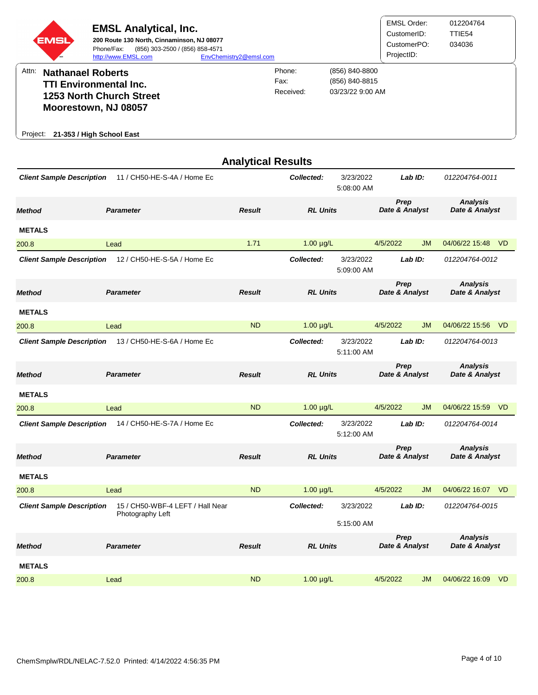| <b>EMSL</b> | <b>EMSL Analytical, Inc.</b><br>200 Route 130 North, Cinnaminson, NJ 08077<br>(856) 303-2500 / (856) 858-4571<br>Phone/Fax:<br>http://www.EMSL.com | EnvChemistry2@emsl.com |                             |                                                      | <b>EMSL Order:</b><br>CustomerID:<br>CustomerPO:<br>ProjectID: | 012204764<br>TTIE54<br>034036 |
|-------------|----------------------------------------------------------------------------------------------------------------------------------------------------|------------------------|-----------------------------|------------------------------------------------------|----------------------------------------------------------------|-------------------------------|
| Attn:       | <b>Nathanael Roberts</b><br><b>TTI Environmental Inc.</b><br>1253 North Church Street<br>Moorestown, NJ 08057                                      |                        | Phone:<br>Fax:<br>Received: | (856) 840-8800<br>(856) 840-8815<br>03/23/22 9:00 AM |                                                                |                               |
| Project:    | 21-353 / High School East                                                                                                                          |                        |                             |                                                      |                                                                |                               |

|                                  |                                  |               | <b>Analytical Results</b> |                         |                        |           |                                   |           |
|----------------------------------|----------------------------------|---------------|---------------------------|-------------------------|------------------------|-----------|-----------------------------------|-----------|
| <b>Client Sample Description</b> | 11 / CH50-HE-S-4A / Home Ec      |               | Collected:                | 3/23/2022<br>5:08:00 AM |                        | Lab ID:   | 012204764-0011                    |           |
| <b>Method</b>                    | <b>Parameter</b>                 | <b>Result</b> | <b>RL Units</b>           |                         | Prep<br>Date & Analyst |           | <b>Analysis</b><br>Date & Analyst |           |
| <b>METALS</b>                    |                                  |               |                           |                         |                        |           |                                   |           |
| 200.8                            | Lead                             | 1.71          | $1.00 \mu g/L$            |                         | 4/5/2022               | <b>JM</b> | 04/06/22 15:48 VD                 |           |
| <b>Client Sample Description</b> | 12 / CH50-HE-S-5A / Home Ec      |               | Collected:                | 3/23/2022<br>5:09:00 AM |                        | Lab ID:   | 012204764-0012                    |           |
| <b>Method</b>                    | <b>Parameter</b>                 | <b>Result</b> | <b>RL Units</b>           |                         | Prep<br>Date & Analyst |           | <b>Analysis</b><br>Date & Analyst |           |
| <b>METALS</b>                    |                                  |               |                           |                         |                        |           |                                   |           |
| 200.8                            | Lead                             | <b>ND</b>     | $1.00 \mu g/L$            |                         | 4/5/2022               | <b>JM</b> | 04/06/22 15:56                    | – VD      |
| <b>Client Sample Description</b> | 13 / CH50-HE-S-6A / Home Ec      |               | Collected:                | 3/23/2022<br>5.11:00 AM |                        | Lab ID:   | 012204764-0013                    |           |
| <b>Method</b>                    | <b>Parameter</b>                 | <b>Result</b> | <b>RL Units</b>           |                         | Prep<br>Date & Analyst |           | <b>Analysis</b><br>Date & Analyst |           |
| <b>METALS</b>                    |                                  |               |                           |                         |                        |           |                                   |           |
| 200.8                            | Lead                             | <b>ND</b>     | $1.00 \mu g/L$            |                         | 4/5/2022               | <b>JM</b> | 04/06/22 15:59                    | <b>VD</b> |
| <b>Client Sample Description</b> | 14 / CH50-HE-S-7A / Home Ec      |               | Collected:                | 3/23/2022<br>5:12:00 AM |                        | Lab ID:   | 012204764-0014                    |           |
| <b>Method</b>                    | <b>Parameter</b>                 | <b>Result</b> | <b>RL Units</b>           |                         | Prep<br>Date & Analyst |           | <b>Analysis</b><br>Date & Analyst |           |
| <b>METALS</b>                    |                                  |               |                           |                         |                        |           |                                   |           |
| 200.8                            | Lead                             | <b>ND</b>     | $1.00 \mu g/L$            |                         | 4/5/2022               | <b>JM</b> | 04/06/22 16:07                    | <b>VD</b> |
| <b>Client Sample Description</b> | 15 / CH50-WBF-4 LEFT / Hall Near |               | Collected:                | 3/23/2022               |                        | Lab ID:   | 012204764-0015                    |           |
|                                  | Photography Left                 |               |                           | 5:15:00 AM              |                        |           |                                   |           |
| <b>Method</b>                    | <b>Parameter</b>                 | <b>Result</b> | <b>RL Units</b>           |                         | Prep<br>Date & Analyst |           | <b>Analysis</b><br>Date & Analyst |           |
| <b>METALS</b>                    |                                  |               |                           |                         |                        |           |                                   |           |
| 200.8                            | Lead                             | <b>ND</b>     | $1.00 \mu g/L$            |                         | 4/5/2022               | JM        | 04/06/22 16:09                    | <b>VD</b> |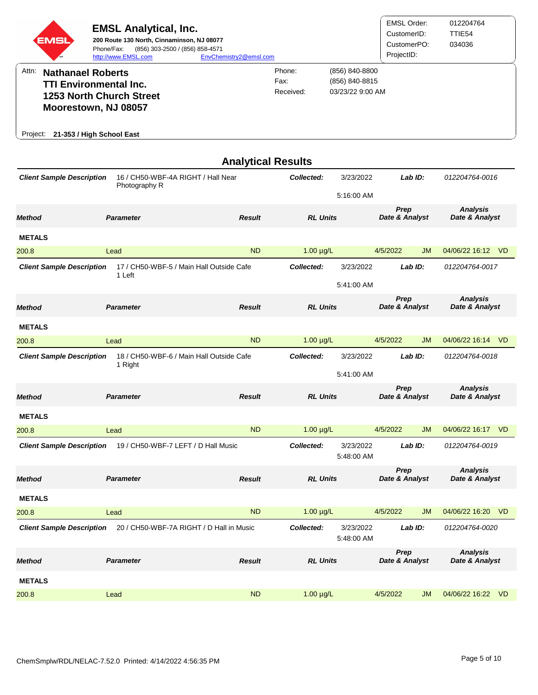|       | <b>EMSL</b>              | <b>EMSL Analytical, Inc.</b><br>200 Route 130 North, Cinnaminson, NJ 08077<br>(856) 303-2500 / (856) 858-4571<br>Phone/Fax:<br>http://www.EMSL.com | EnvChemistry2@emsl.com |                             |                                                      | <b>EMSL Order:</b><br>CustomerID:<br>CustomerPO:<br>ProjectID: | 012204764<br>TTIE54<br>034036 |
|-------|--------------------------|----------------------------------------------------------------------------------------------------------------------------------------------------|------------------------|-----------------------------|------------------------------------------------------|----------------------------------------------------------------|-------------------------------|
| Attn: | <b>Nathanael Roberts</b> | <b>TTI Environmental Inc.</b><br>1253 North Church Street<br>Moorestown, NJ 08057                                                                  |                        | Phone:<br>Fax:<br>Received: | (856) 840-8800<br>(856) 840-8815<br>03/23/22 9:00 AM |                                                                |                               |
|       |                          | Project: 21-353 / High School East                                                                                                                 |                        |                             |                                                      |                                                                |                               |

|                                  |                                                     | <b>Analytical Results</b> |                 |                         |                        |           |                                   |           |
|----------------------------------|-----------------------------------------------------|---------------------------|-----------------|-------------------------|------------------------|-----------|-----------------------------------|-----------|
| <b>Client Sample Description</b> | 16 / CH50-WBF-4A RIGHT / Hall Near<br>Photography R |                           | Collected:      | 3/23/2022<br>5:16:00 AM |                        | Lab ID:   | 012204764-0016                    |           |
| <b>Method</b>                    | <b>Parameter</b>                                    | <b>Result</b>             | <b>RL Units</b> |                         | Prep<br>Date & Analyst |           | <b>Analysis</b><br>Date & Analyst |           |
| <b>METALS</b>                    |                                                     |                           |                 |                         |                        |           |                                   |           |
| 200.8                            | Lead                                                | <b>ND</b>                 | $1.00 \mu g/L$  |                         | 4/5/2022               | <b>JM</b> | 04/06/22 16:12 VD                 |           |
| <b>Client Sample Description</b> | 17 / CH50-WBF-5 / Main Hall Outside Cafe<br>1 Left  |                           | Collected:      | 3/23/2022               |                        | Lab ID:   | 012204764-0017                    |           |
|                                  |                                                     |                           |                 | 5:41:00 AM              |                        |           |                                   |           |
| <b>Method</b>                    | <b>Parameter</b>                                    | <b>Result</b>             | <b>RL Units</b> |                         | Prep<br>Date & Analyst |           | <b>Analysis</b><br>Date & Analyst |           |
| <b>METALS</b>                    |                                                     |                           |                 |                         |                        |           |                                   |           |
| 200.8                            | Lead                                                | <b>ND</b>                 | $1.00 \mu g/L$  |                         | 4/5/2022               | <b>JM</b> | 04/06/22 16:14 VD                 |           |
| <b>Client Sample Description</b> | 18 / CH50-WBF-6 / Main Hall Outside Cafe<br>1 Right |                           | Collected:      | 3/23/2022               |                        | Lab ID:   | 012204764-0018                    |           |
|                                  |                                                     |                           |                 | 5:41:00 AM              |                        |           |                                   |           |
| <b>Method</b>                    | <b>Parameter</b>                                    | <b>Result</b>             | <b>RL Units</b> |                         | Prep<br>Date & Analyst |           | <b>Analysis</b><br>Date & Analyst |           |
| <b>METALS</b>                    |                                                     |                           |                 |                         |                        |           |                                   |           |
| 200.8                            | Lead                                                | <b>ND</b>                 | $1.00 \mu g/L$  |                         | 4/5/2022               | <b>JM</b> | 04/06/22 16:17                    | VD        |
| <b>Client Sample Description</b> | 19 / CH50-WBF-7 LEFT / D Hall Music                 |                           | Collected:      | 3/23/2022<br>5:48:00 AM |                        | Lab ID:   | 012204764-0019                    |           |
| <b>Method</b>                    | <b>Parameter</b>                                    | <b>Result</b>             | <b>RL Units</b> |                         | Prep<br>Date & Analyst |           | <b>Analysis</b><br>Date & Analyst |           |
| <b>METALS</b>                    |                                                     |                           |                 |                         |                        |           |                                   |           |
| 200.8                            | Lead                                                | <b>ND</b>                 | $1.00 \mu g/L$  |                         | 4/5/2022               | <b>JM</b> | 04/06/22 16:20                    | <b>VD</b> |
| <b>Client Sample Description</b> | 20 / CH50-WBF-7A RIGHT / D Hall in Music            |                           | Collected:      | 3/23/2022<br>5:48:00 AM |                        | Lab ID:   | 012204764-0020                    |           |
| <b>Method</b>                    | <b>Parameter</b>                                    | <b>Result</b>             | <b>RL Units</b> |                         | Prep<br>Date & Analyst |           | <b>Analysis</b><br>Date & Analyst |           |
| <b>METALS</b>                    |                                                     |                           |                 |                         |                        |           |                                   |           |
| 200.8                            | Lead                                                | <b>ND</b>                 | $1.00 \mu g/L$  |                         | 4/5/2022               | <b>JM</b> | 04/06/22 16:22                    | -VD       |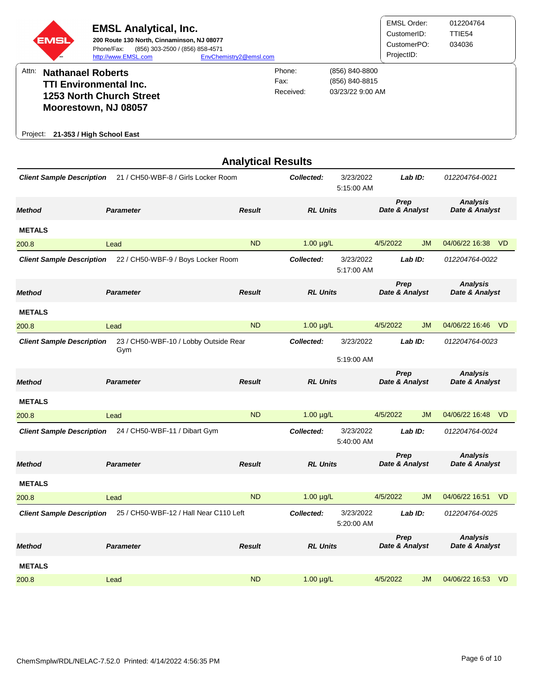|          | <b>EMSL</b>              | <b>EMSL Analytical, Inc.</b><br>200 Route 130 North, Cinnaminson, NJ 08077<br>(856) 303-2500 / (856) 858-4571<br>Phone/Fax:<br>http://www.EMSL.com | EnvChemistry2@emsl.com |                             |                                                      | EMSL Order:<br>CustomerID:<br>CustomerPO:<br>ProjectID: | 012204764<br>TTIE <sub>54</sub><br>034036 |
|----------|--------------------------|----------------------------------------------------------------------------------------------------------------------------------------------------|------------------------|-----------------------------|------------------------------------------------------|---------------------------------------------------------|-------------------------------------------|
| Attn:    | <b>Nathanael Roberts</b> | <b>TTI Environmental Inc.</b><br><b>1253 North Church Street</b><br>Moorestown, NJ 08057                                                           |                        | Phone:<br>Fax:<br>Received: | (856) 840-8800<br>(856) 840-8815<br>03/23/22 9:00 AM |                                                         |                                           |
| Project: |                          | 21-353 / High School East                                                                                                                          |                        |                             |                                                      |                                                         |                                           |

|                                  |                                              | <b>Analytical Results</b> |                 |                         |                        |           |                                   |                |
|----------------------------------|----------------------------------------------|---------------------------|-----------------|-------------------------|------------------------|-----------|-----------------------------------|----------------|
| <b>Client Sample Description</b> | 21 / CH50-WBF-8 / Girls Locker Room          |                           | Collected:      | 3/23/2022<br>5:15:00 AM | Lab ID:                |           | 012204764-0021                    |                |
| <b>Method</b>                    | <b>Parameter</b>                             | <b>Result</b>             | <b>RL Units</b> |                         | Prep<br>Date & Analyst |           | <b>Analysis</b><br>Date & Analyst |                |
| <b>METALS</b>                    |                                              |                           |                 |                         |                        |           |                                   |                |
| 200.8                            | Lead                                         | <b>ND</b>                 | $1.00 \mu g/L$  |                         | 4/5/2022               | <b>JM</b> | 04/06/22 16:38                    | <b>VD</b>      |
| <b>Client Sample Description</b> | 22 / CH50-WBF-9 / Boys Locker Room           |                           | Collected:      | 3/23/2022<br>5:17:00 AM |                        | Lab ID:   | 012204764-0022                    |                |
| Method                           | <b>Parameter</b>                             | <b>Result</b>             | <b>RL Units</b> |                         | Prep<br>Date & Analyst |           | <b>Analysis</b><br>Date & Analyst |                |
| <b>METALS</b>                    |                                              |                           |                 |                         |                        |           |                                   |                |
| 200.8                            | Lead                                         | <b>ND</b>                 | $1.00 \mu g/L$  |                         | 4/5/2022               | <b>JM</b> | 04/06/22 16:46 VD                 |                |
| <b>Client Sample Description</b> | 23 / CH50-WBF-10 / Lobby Outside Rear<br>Gym |                           | Collected:      | 3/23/2022               |                        | Lab ID:   | 012204764-0023                    |                |
|                                  |                                              |                           |                 | 5:19:00 AM              |                        |           |                                   |                |
| <b>Method</b>                    | <b>Parameter</b>                             | <b>Result</b>             | <b>RL Units</b> |                         | Prep<br>Date & Analyst |           | <b>Analysis</b><br>Date & Analyst |                |
| <b>METALS</b>                    |                                              |                           |                 |                         |                        |           |                                   |                |
| 200.8                            | Lead                                         | <b>ND</b>                 | $1.00 \mu g/L$  |                         | 4/5/2022               | <b>JM</b> | 04/06/22 16:48                    | <b>VD</b>      |
| <b>Client Sample Description</b> | 24 / CH50-WBF-11 / Dibart Gym                |                           | Collected:      | 3/23/2022<br>5:40:00 AM |                        | Lab ID:   | 012204764-0024                    |                |
| <b>Method</b>                    | <b>Parameter</b>                             | <b>Result</b>             | <b>RL Units</b> |                         | Prep<br>Date & Analyst |           | <b>Analysis</b><br>Date & Analyst |                |
| <b>METALS</b>                    |                                              |                           |                 |                         |                        |           |                                   |                |
| 200.8                            | Lead                                         | <b>ND</b>                 | $1.00 \mu g/L$  |                         | 4/5/2022               | <b>JM</b> | 04/06/22 16:51 VD                 |                |
| <b>Client Sample Description</b> | 25 / CH50-WBF-12 / Hall Near C110 Left       |                           | Collected:      | 3/23/2022<br>5:20:00 AM |                        | Lab ID:   | 012204764-0025                    |                |
| <b>Method</b>                    | <b>Parameter</b>                             | Result                    | <b>RL Units</b> |                         | Prep<br>Date & Analyst |           | <b>Analysis</b><br>Date & Analyst |                |
| <b>METALS</b>                    |                                              |                           |                 |                         |                        |           |                                   |                |
| 200.8                            | Lead                                         | <b>ND</b>                 | $1.00 \mu g/L$  |                         | 4/5/2022               | JM        | 04/06/22 16:53                    | V <sub>D</sub> |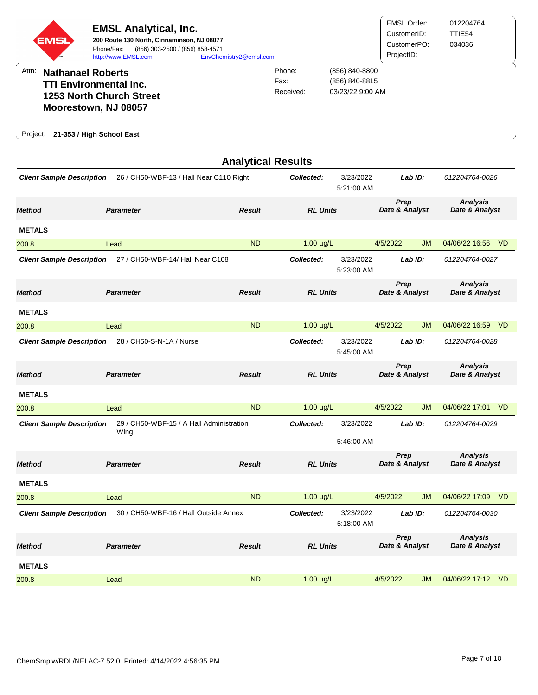|          | <b>EMSL</b>              | <b>EMSL Analytical, Inc.</b><br>200 Route 130 North, Cinnaminson, NJ 08077<br>(856) 303-2500 / (856) 858-4571<br>Phone/Fax:<br>http://www.EMSL.com | EnvChemistry2@emsl.com |                             |                                                      | EMSL Order:<br>CustomerID:<br>CustomerPO:<br>ProjectID: | 012204764<br>TTIE54<br>034036 |
|----------|--------------------------|----------------------------------------------------------------------------------------------------------------------------------------------------|------------------------|-----------------------------|------------------------------------------------------|---------------------------------------------------------|-------------------------------|
| Attn:    | <b>Nathanael Roberts</b> | <b>TTI Environmental Inc.</b><br><b>1253 North Church Street</b><br>Moorestown, NJ 08057                                                           |                        | Phone:<br>Fax:<br>Received: | (856) 840-8800<br>(856) 840-8815<br>03/23/22 9:00 AM |                                                         |                               |
| Project: |                          | 21-353 / High School East                                                                                                                          |                        |                             |                                                      |                                                         |                               |

|                                  |                                                  |               | <b>Analytical Results</b> |                         |                        |           |                                   |                |
|----------------------------------|--------------------------------------------------|---------------|---------------------------|-------------------------|------------------------|-----------|-----------------------------------|----------------|
| <b>Client Sample Description</b> | 26 / CH50-WBF-13 / Hall Near C110 Right          |               | Collected:                | 3/23/2022<br>5:21:00 AM |                        | Lab ID:   | 012204764-0026                    |                |
| Method                           | <b>Parameter</b>                                 | <b>Result</b> | <b>RL Units</b>           |                         | Prep<br>Date & Analyst |           | <b>Analysis</b><br>Date & Analyst |                |
| <b>METALS</b>                    |                                                  |               |                           |                         |                        |           |                                   |                |
| 200.8                            | Lead                                             | <b>ND</b>     | $1.00 \mu g/L$            |                         | 4/5/2022               | <b>JM</b> | 04/06/22 16:56                    | -VD            |
| <b>Client Sample Description</b> | 27 / CH50-WBF-14/ Hall Near C108                 |               | Collected:                | 3/23/2022<br>5:23:00 AM |                        | Lab ID:   | 012204764-0027                    |                |
| Method                           | <b>Parameter</b>                                 | <b>Result</b> | <b>RL Units</b>           |                         | Prep<br>Date & Analyst |           | <b>Analysis</b><br>Date & Analyst |                |
| <b>METALS</b>                    |                                                  |               |                           |                         |                        |           |                                   |                |
| 200.8                            | Lead                                             | <b>ND</b>     | $1.00 \mu g/L$            |                         | 4/5/2022               | <b>JM</b> | 04/06/22 16:59 VD                 |                |
| <b>Client Sample Description</b> | 28 / CH50-S-N-1A / Nurse                         |               | Collected:                | 3/23/2022<br>5:45:00 AM |                        | Lab ID:   | 012204764-0028                    |                |
| <b>Method</b>                    | <b>Parameter</b>                                 | <b>Result</b> | <b>RL Units</b>           |                         | Prep<br>Date & Analyst |           | <b>Analysis</b><br>Date & Analyst |                |
| <b>METALS</b>                    |                                                  |               |                           |                         |                        |           |                                   |                |
| 200.8                            | Lead                                             | <b>ND</b>     | $1.00 \mu g/L$            |                         | 4/5/2022               | <b>JM</b> | 04/06/22 17:01 VD                 |                |
| <b>Client Sample Description</b> | 29 / CH50-WBF-15 / A Hall Administration<br>Wing |               | Collected:                | 3/23/2022               |                        | Lab ID:   | 012204764-0029                    |                |
|                                  |                                                  |               |                           | 5:46:00 AM              |                        |           |                                   |                |
| <b>Method</b>                    | <b>Parameter</b>                                 | <b>Result</b> | <b>RL Units</b>           |                         | Prep<br>Date & Analyst |           | <b>Analysis</b><br>Date & Analyst |                |
| <b>METALS</b>                    |                                                  |               |                           |                         |                        |           |                                   |                |
| 200.8                            | Lead                                             | <b>ND</b>     | $1.00 \mu g/L$            |                         | 4/5/2022               | <b>JM</b> | 04/06/22 17:09                    | V <sub>D</sub> |
| <b>Client Sample Description</b> | 30 / CH50-WBF-16 / Hall Outside Annex            |               | Collected:                | 3/23/2022<br>5:18:00 AM |                        | Lab ID:   | 012204764-0030                    |                |
| <b>Method</b>                    | <b>Parameter</b>                                 | <b>Result</b> | <b>RL Units</b>           |                         | Prep<br>Date & Analyst |           | <b>Analysis</b><br>Date & Analyst |                |
| <b>METALS</b>                    |                                                  |               |                           |                         |                        |           |                                   |                |
| 200.8                            | Lead                                             | <b>ND</b>     | $1.00 \mu g/L$            |                         | 4/5/2022               | <b>JM</b> | 04/06/22 17:12 VD                 |                |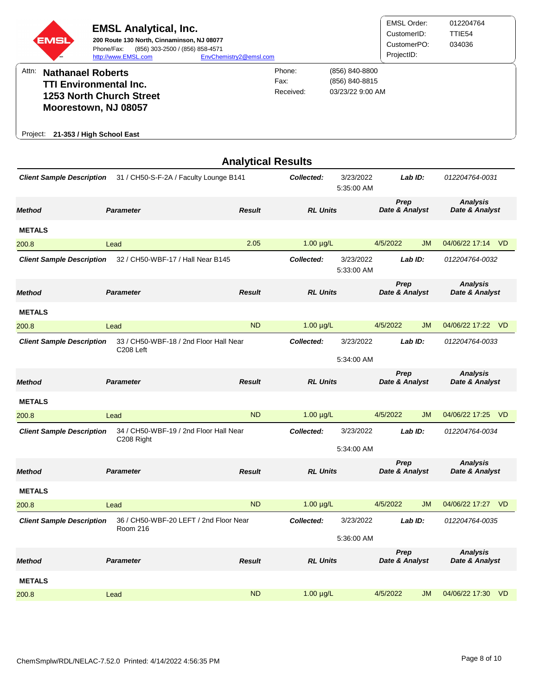|          | <b>EMSL</b>              | <b>EMSL Analytical, Inc.</b><br>200 Route 130 North, Cinnaminson, NJ 08077<br>(856) 303-2500 / (856) 858-4571<br>Phone/Fax:<br>http://www.EMSL.com | EnvChemistry2@emsl.com |                             |                                                      | EMSL Order:<br>CustomerID:<br>CustomerPO:<br>ProjectID: | 012204764<br>TTIE <sub>54</sub><br>034036 |
|----------|--------------------------|----------------------------------------------------------------------------------------------------------------------------------------------------|------------------------|-----------------------------|------------------------------------------------------|---------------------------------------------------------|-------------------------------------------|
| Attn:    | <b>Nathanael Roberts</b> | <b>TTI Environmental Inc.</b><br><b>1253 North Church Street</b><br>Moorestown, NJ 08057                                                           |                        | Phone:<br>Fax:<br>Received: | (856) 840-8800<br>(856) 840-8815<br>03/23/22 9:00 AM |                                                         |                                           |
| Project: |                          | 21-353 / High School East                                                                                                                          |                        |                             |                                                      |                                                         |                                           |

| <b>Client Sample Description</b><br>31 / CH50-S-F-2A / Faculty Lounge B141                    |               | Collected:                                                                                                            | 3/23/2022<br>5:35:00 AM   |                                                                                                                                                                  |                                                          | 012204764-0031                                            |                                                                                                               |
|-----------------------------------------------------------------------------------------------|---------------|-----------------------------------------------------------------------------------------------------------------------|---------------------------|------------------------------------------------------------------------------------------------------------------------------------------------------------------|----------------------------------------------------------|-----------------------------------------------------------|---------------------------------------------------------------------------------------------------------------|
| <b>Parameter</b>                                                                              | <b>Result</b> | <b>RL Units</b>                                                                                                       |                           | Prep<br>Date & Analyst                                                                                                                                           |                                                          | <b>Analysis</b><br>Date & Analyst                         |                                                                                                               |
|                                                                                               |               |                                                                                                                       |                           |                                                                                                                                                                  |                                                          |                                                           |                                                                                                               |
| Lead                                                                                          | 2.05          |                                                                                                                       |                           |                                                                                                                                                                  | <b>JM</b>                                                | 04/06/22 17:14                                            | <b>VD</b>                                                                                                     |
| <b>Client Sample Description</b>                                                              |               | Collected:                                                                                                            |                           | Lab ID:                                                                                                                                                          |                                                          | 012204764-0032                                            |                                                                                                               |
| <b>Parameter</b>                                                                              | <b>Result</b> | <b>RL Units</b>                                                                                                       |                           | Prep<br>Date & Analyst                                                                                                                                           |                                                          | <b>Analysis</b><br>Date & Analyst                         |                                                                                                               |
|                                                                                               |               |                                                                                                                       |                           |                                                                                                                                                                  |                                                          |                                                           |                                                                                                               |
| Lead                                                                                          | <b>ND</b>     |                                                                                                                       |                           |                                                                                                                                                                  | <b>JM</b>                                                | 04/06/22 17:22                                            | <b>VD</b>                                                                                                     |
| C208 Left                                                                                     |               | Collected:                                                                                                            | 3/23/2022                 |                                                                                                                                                                  |                                                          |                                                           |                                                                                                               |
|                                                                                               |               |                                                                                                                       |                           |                                                                                                                                                                  |                                                          |                                                           |                                                                                                               |
| <b>Parameter</b>                                                                              | <b>Result</b> | <b>RL Units</b>                                                                                                       |                           | Prep<br>Date & Analyst                                                                                                                                           |                                                          | Date & Analyst                                            |                                                                                                               |
|                                                                                               |               |                                                                                                                       |                           |                                                                                                                                                                  |                                                          |                                                           |                                                                                                               |
| Lead                                                                                          | <b>ND</b>     |                                                                                                                       |                           |                                                                                                                                                                  | JM                                                       |                                                           |                                                                                                               |
| C208 Right                                                                                    |               | Collected:                                                                                                            | 3/23/2022                 |                                                                                                                                                                  |                                                          |                                                           |                                                                                                               |
|                                                                                               |               |                                                                                                                       |                           |                                                                                                                                                                  |                                                          |                                                           |                                                                                                               |
| <b>Parameter</b>                                                                              | <b>Result</b> |                                                                                                                       |                           |                                                                                                                                                                  |                                                          |                                                           |                                                                                                               |
|                                                                                               |               |                                                                                                                       |                           |                                                                                                                                                                  |                                                          |                                                           |                                                                                                               |
| Lead                                                                                          | <b>ND</b>     |                                                                                                                       |                           |                                                                                                                                                                  | <b>JM</b>                                                | 04/06/22 17:27                                            | <b>VD</b>                                                                                                     |
| 36 / CH50-WBF-20 LEFT / 2nd Floor Near<br><b>Client Sample Description</b><br><b>Room 216</b> |               | Collected:<br>3/23/2022                                                                                               |                           | Lab ID:                                                                                                                                                          |                                                          | 012204764-0035                                            |                                                                                                               |
|                                                                                               |               |                                                                                                                       | 5:36:00 AM                |                                                                                                                                                                  |                                                          |                                                           |                                                                                                               |
| <b>Parameter</b>                                                                              | <b>Result</b> | <b>RL Units</b>                                                                                                       |                           | Prep<br>Date & Analyst                                                                                                                                           |                                                          | <b>Analysis</b><br>Date & Analyst                         |                                                                                                               |
|                                                                                               |               |                                                                                                                       |                           |                                                                                                                                                                  |                                                          |                                                           |                                                                                                               |
| Lead                                                                                          | <b>ND</b>     |                                                                                                                       |                           |                                                                                                                                                                  | <b>JM</b>                                                | 04/06/22 17:30                                            | <b>VD</b>                                                                                                     |
|                                                                                               |               | 32 / CH50-WBF-17 / Hall Near B145<br>33 / CH50-WBF-18 / 2nd Floor Hall Near<br>34 / CH50-WBF-19 / 2nd Floor Hall Near | <b>Analytical Results</b> | $1.00 \mu g/L$<br>3/23/2022<br>5:33:00 AM<br>$1.00 \mu g/L$<br>5:34:00 AM<br>$1.00 \mu g/L$<br>5:34:00 AM<br><b>RL Units</b><br>$1.00 \mu g/L$<br>$1.00 \mu g/L$ | 4/5/2022<br>4/5/2022<br>4/5/2022<br>4/5/2022<br>4/5/2022 | Lab ID:<br>Lab $ID:$<br>Lab ID:<br>Prep<br>Date & Analyst | 012204764-0033<br><b>Analysis</b><br>04/06/22 17:25 VD<br>012204764-0034<br><b>Analysis</b><br>Date & Analyst |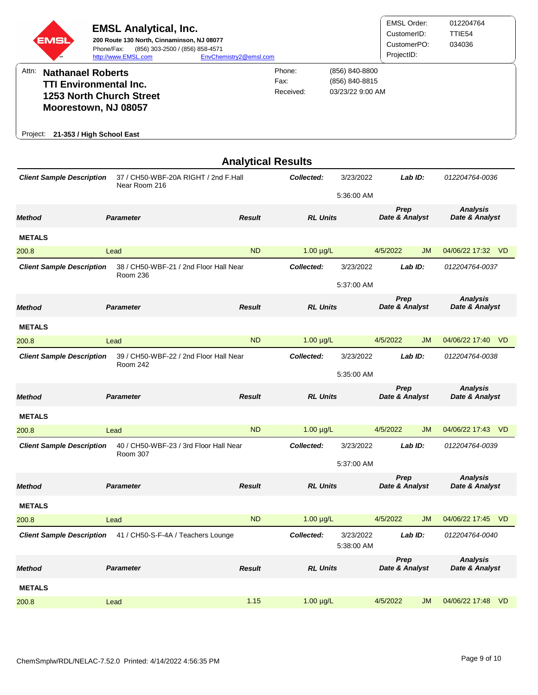| <b>EMSL</b>                      | Phone/Fax:<br>http://www.EMSL.com                                                                                                                 | <b>EMSL Analytical, Inc.</b><br>200 Route 130 North, Cinnaminson, NJ 08077<br>(856) 303-2500 / (856) 858-4571 | EnvChemistry2@emsl.com    |                             |                                                      | <b>EMSL Order:</b><br>CustomerID:<br>CustomerPO:<br>ProjectID: |           | 012204764<br>TTIE54<br>034036     |                |
|----------------------------------|---------------------------------------------------------------------------------------------------------------------------------------------------|---------------------------------------------------------------------------------------------------------------|---------------------------|-----------------------------|------------------------------------------------------|----------------------------------------------------------------|-----------|-----------------------------------|----------------|
| Attn:<br>Project:                | <b>Nathanael Roberts</b><br><b>TTI Environmental Inc.</b><br><b>1253 North Church Street</b><br>Moorestown, NJ 08057<br>21-353 / High School East |                                                                                                               |                           | Phone:<br>Fax:<br>Received: | (856) 840-8800<br>(856) 840-8815<br>03/23/22 9:00 AM |                                                                |           |                                   |                |
|                                  |                                                                                                                                                   |                                                                                                               | <b>Analytical Results</b> |                             |                                                      |                                                                |           |                                   |                |
| <b>Client Sample Description</b> |                                                                                                                                                   | 37 / CH50-WBF-20A RIGHT / 2nd F.Hall<br>Near Room 216                                                         |                           | Collected:                  | 3/23/2022<br>5:36:00 AM                              | Lab $ID:$                                                      |           | 012204764-0036                    |                |
| <b>Method</b>                    | <b>Parameter</b>                                                                                                                                  |                                                                                                               | <b>Result</b>             | <b>RL Units</b>             |                                                      | Prep<br>Date & Analyst                                         |           | <b>Analysis</b><br>Date & Analyst |                |
| <b>METALS</b>                    |                                                                                                                                                   |                                                                                                               |                           |                             |                                                      |                                                                |           |                                   |                |
| 200.8                            | Lead                                                                                                                                              |                                                                                                               | <b>ND</b>                 | $1.00 \mu g/L$              |                                                      | 4/5/2022                                                       | <b>JM</b> | 04/06/22 17:32                    | V <sub>D</sub> |
| <b>Client Sample Description</b> |                                                                                                                                                   | 38 / CH50-WBF-21 / 2nd Floor Hall Near<br>Room 236                                                            |                           | Collected:                  | 3/23/2022                                            | Lab $ID:$                                                      |           | 012204764-0037                    |                |

200.8 Lead ND 1.00 µg/L 4/5/2022 JM 04/06/22 17:40 VD

200.8 Lead ND 1.00 µg/L 4/5/2022 JM 04/06/22 17:43 VD

200.8 Lead ND 1.00 µg/L 4/5/2022 JM 04/06/22 17:45 VD

200.8 Lead 1.15 1.00 µg/L 4/5/2022 JM 04/06/22 17:48 VD

*Method Parameter Result RL Units* 

*Method Parameter Result RL Units* 

*Method Parameter Result RL Units* 

*Method Parameter Result RL Units* 

*Client Sample Description* 41 / CH50-S-F-4A / Teachers Lounge *Collected:* 3/23/2022

*Client Sample Description* 39 / CH50-WBF-22 / 2nd Floor Hall Near Room 242

*Client Sample Description* 40 / CH50-WBF-23 / 3rd Floor Hall Near Room 307

**METALS** 

**METALS** 

**METALS** 

**METALS** 

5:37:00 AM

5:35:00 AM

5:37:00 AM

5:38:00 AM

*Collected:* 3/23/2022

*Collected:* 3/23/2022

*Prep Date & Analyst* 

*Prep Date & Analyst* 

*Prep Date & Analyst* 

*Prep Date & Analyst*   *Date & Analyst* 

*Analysis* 

 *Date & Analyst* 

*Analysis* 

*Lab ID: 012204764-0038* 

*Lab ID: 012204764-0039* 

*Lab ID: 012204764-0040* 

 *Date & Analyst* 

*Analysis* 

 *Date & Analyst* 

*Analysis*